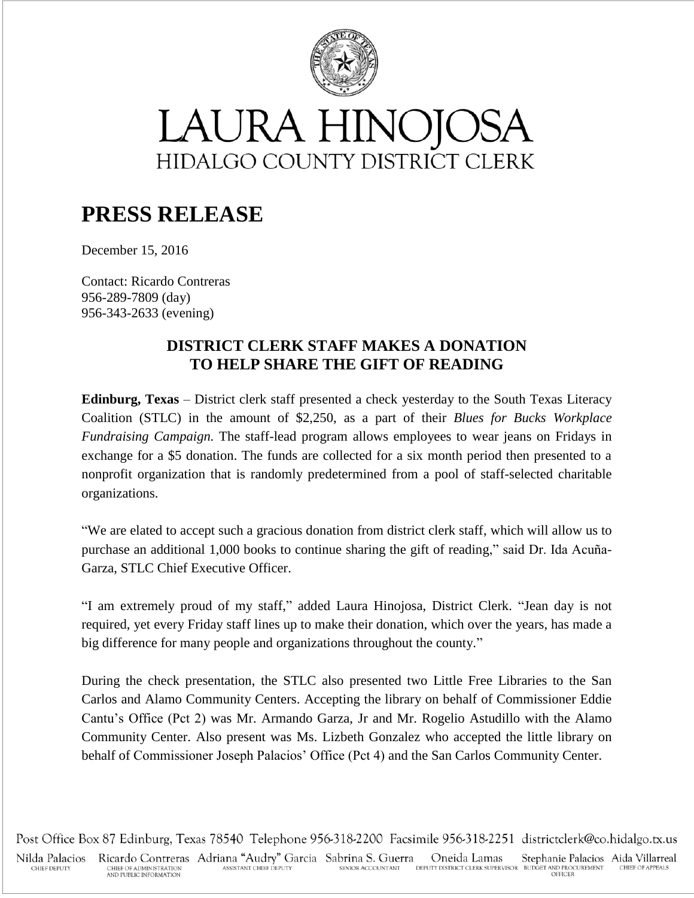

## LAURA HINOJOSA HIDALGO COUNTY DISTRICT CLERK

## **PRESS RELEASE**

December 15, 2016

Contact: Ricardo Contreras 956-289-7809 (day) 956-343-2633 (evening)

## **DISTRICT CLERK STAFF MAKES A DONATION TO HELP SHARE THE GIFT OF READING**

**Edinburg, Texas** – District clerk staff presented a check yesterday to the South Texas Literacy Coalition (STLC) in the amount of \$2,250, as a part of their *Blues for Bucks Workplace Fundraising Campaign.* The staff-lead program allows employees to wear jeans on Fridays in exchange for a \$5 donation. The funds are collected for a six month period then presented to a nonprofit organization that is randomly predetermined from a pool of staff-selected charitable organizations.

"We are elated to accept such a gracious donation from district clerk staff, which will allow us to purchase an additional 1,000 books to continue sharing the gift of reading," said Dr. Ida Acuña-Garza, STLC Chief Executive Officer.

"I am extremely proud of my staff," added Laura Hinojosa, District Clerk. "Jean day is not required, yet every Friday staff lines up to make their donation, which over the years, has made a big difference for many people and organizations throughout the county."

During the check presentation, the STLC also presented two Little Free Libraries to the San Carlos and Alamo Community Centers. Accepting the library on behalf of Commissioner Eddie Cantu's Office (Pct 2) was Mr. Armando Garza, Jr and Mr. Rogelio Astudillo with the Alamo Community Center. Also present was Ms. Lizbeth Gonzalez who accepted the little library on behalf of Commissioner Joseph Palacios' Office (Pct 4) and the San Carlos Community Center.

Post Office Box 87 Edinburg, Texas 78540 Telephone 956-318-2200 Facsimile 956-318-2251 districtclerk@co.hidalgo.tx.us